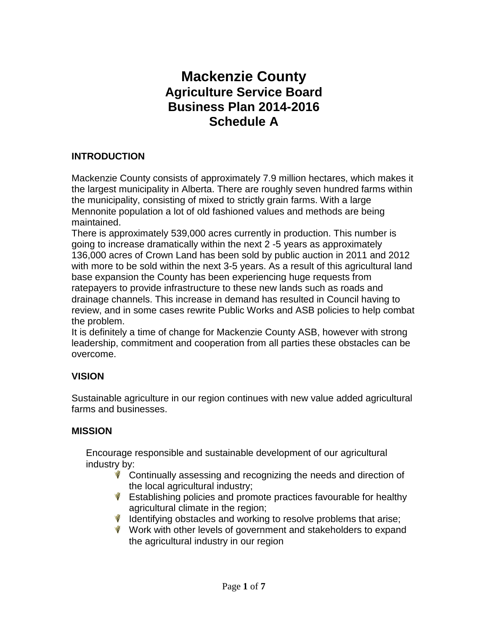# **Mackenzie County Agriculture Service Board Business Plan 2014-2016 Schedule A**

# **INTRODUCTION**

Mackenzie County consists of approximately 7.9 million hectares, which makes it the largest municipality in Alberta. There are roughly seven hundred farms within the municipality, consisting of mixed to strictly grain farms. With a large Mennonite population a lot of old fashioned values and methods are being maintained.

There is approximately 539,000 acres currently in production. This number is going to increase dramatically within the next 2 -5 years as approximately 136,000 acres of Crown Land has been sold by public auction in 2011 and 2012 with more to be sold within the next 3-5 years. As a result of this agricultural land base expansion the County has been experiencing huge requests from ratepayers to provide infrastructure to these new lands such as roads and drainage channels. This increase in demand has resulted in Council having to review, and in some cases rewrite Public Works and ASB policies to help combat the problem.

It is definitely a time of change for Mackenzie County ASB, however with strong leadership, commitment and cooperation from all parties these obstacles can be overcome.

# **VISION**

Sustainable agriculture in our region continues with new value added agricultural farms and businesses.

# **MISSION**

Encourage responsible and sustainable development of our agricultural industry by:

- Continually assessing and recognizing the needs and direction of the local agricultural industry;
- $\mathbf W$  Establishing policies and promote practices favourable for healthy agricultural climate in the region;
- $\mathbf V$  Identifying obstacles and working to resolve problems that arise;
- W ork with other levels of government and stakeholders to expand the agricultural industry in our region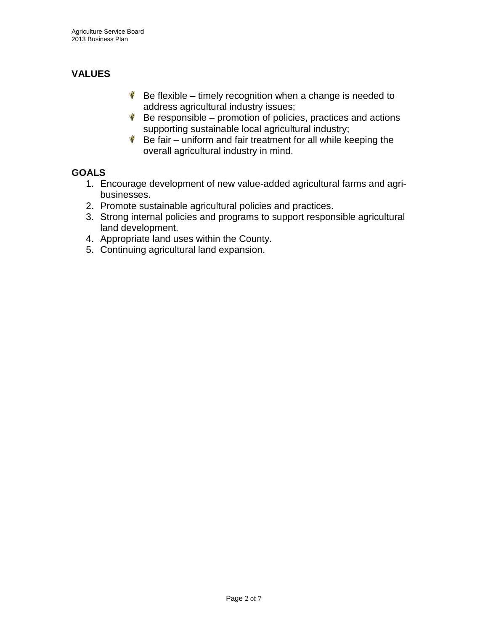# **VALUES**

- $\mathbf W$  Be flexible timely recognition when a change is needed to address agricultural industry issues;
- $\mathbf W$  Be responsible promotion of policies, practices and actions supporting sustainable local agricultural industry;
- $\mathbf W$  Be fair uniform and fair treatment for all while keeping the overall agricultural industry in mind.

# **GOALS**

- 1. Encourage development of new value-added agricultural farms and agribusinesses.
- 2. Promote sustainable agricultural policies and practices.
- 3. Strong internal policies and programs to support responsible agricultural land development.
- 4. Appropriate land uses within the County.
- 5. Continuing agricultural land expansion.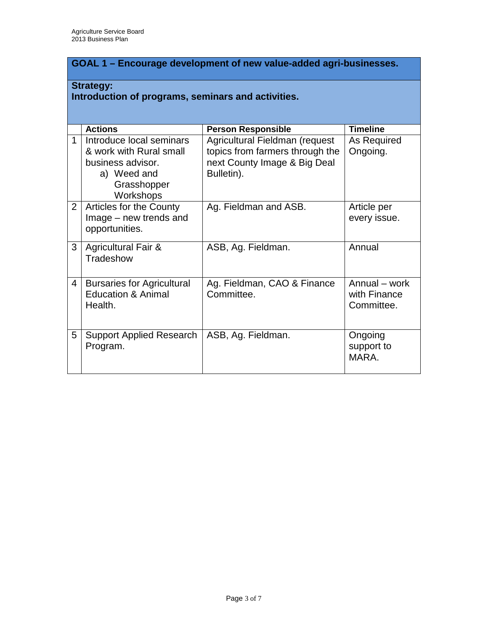# **GOAL 1 – Encourage development of new value-added agri-businesses.**

#### **Strategy: Introduction of programs, seminars and activities.**

|                | <b>Actions</b>                                                                                                      | <b>Person Responsible</b>                                                                                       | <b>Timeline</b>                             |  |  |
|----------------|---------------------------------------------------------------------------------------------------------------------|-----------------------------------------------------------------------------------------------------------------|---------------------------------------------|--|--|
| 1              | Introduce local seminars<br>& work with Rural small<br>business advisor.<br>a) Weed and<br>Grasshopper<br>Workshops | Agricultural Fieldman (request<br>topics from farmers through the<br>next County Image & Big Deal<br>Bulletin). | As Required<br>Ongoing.                     |  |  |
| $\overline{2}$ | Articles for the County<br>Image – new trends and<br>opportunities.                                                 | Ag. Fieldman and ASB.                                                                                           | Article per<br>every issue.                 |  |  |
| 3              | <b>Agricultural Fair &amp;</b><br>Tradeshow                                                                         | ASB, Ag. Fieldman.                                                                                              | Annual                                      |  |  |
| $\overline{4}$ | <b>Bursaries for Agricultural</b><br><b>Education &amp; Animal</b><br>Health.                                       | Ag. Fieldman, CAO & Finance<br>Committee.                                                                       | Annual – work<br>with Finance<br>Committee. |  |  |
| 5              | <b>Support Applied Research</b><br>Program.                                                                         | ASB, Ag. Fieldman.                                                                                              | Ongoing<br>support to<br>MARA.              |  |  |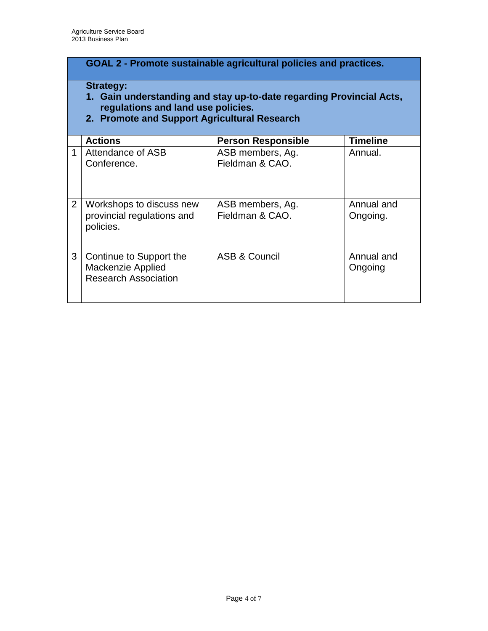# **GOAL 2 - Promote sustainable agricultural policies and practices.**

#### **Strategy:**

- **1. Gain understanding and stay up-to-date regarding Provincial Acts, regulations and land use policies.**
- **2. Promote and Support Agricultural Research**

|                | <b>Actions</b>                                                                     | <b>Person Responsible</b>           | <b>Timeline</b>        |  |  |
|----------------|------------------------------------------------------------------------------------|-------------------------------------|------------------------|--|--|
|                | Attendance of ASB<br>Conference.                                                   | ASB members, Ag.<br>Fieldman & CAO. | Annual.                |  |  |
| $\overline{2}$ | Workshops to discuss new<br>provincial regulations and<br>policies.                | ASB members, Ag.<br>Fieldman & CAO. | Annual and<br>Ongoing. |  |  |
| 3              | Continue to Support the<br><b>Mackenzie Applied</b><br><b>Research Association</b> | ASB & Council                       | Annual and<br>Ongoing  |  |  |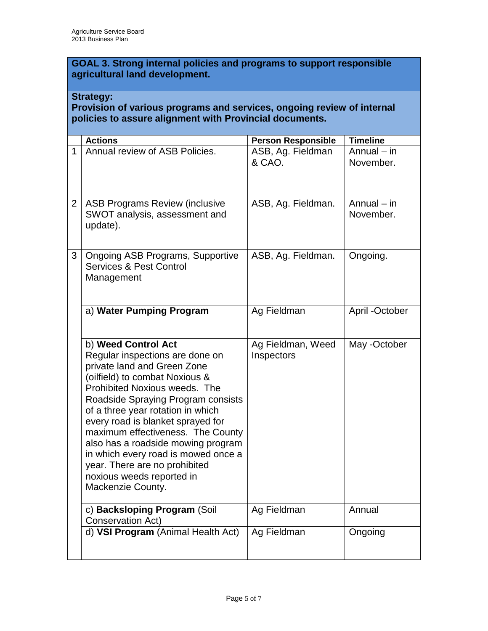**GOAL 3. Strong internal policies and programs to support responsible agricultural land development.**

## **Strategy:**

#### **Provision of various programs and services, ongoing review of internal policies to assure alignment with Provincial documents.**

|                | <b>Actions</b>                                                                                                                                                                                                                                                                                                                                                                                                                                                                | <b>Person Responsible</b>       | <b>Timeline</b>            |
|----------------|-------------------------------------------------------------------------------------------------------------------------------------------------------------------------------------------------------------------------------------------------------------------------------------------------------------------------------------------------------------------------------------------------------------------------------------------------------------------------------|---------------------------------|----------------------------|
| 1              | Annual review of ASB Policies.                                                                                                                                                                                                                                                                                                                                                                                                                                                | ASB, Ag. Fieldman<br>& CAO.     | Annual $-$ in<br>November. |
| 2 <sup>1</sup> | <b>ASB Programs Review (inclusive</b><br>SWOT analysis, assessment and<br>update).                                                                                                                                                                                                                                                                                                                                                                                            | ASB, Ag. Fieldman.              | Annual $-$ in<br>November. |
| 3              | <b>Ongoing ASB Programs, Supportive</b><br><b>Services &amp; Pest Control</b><br>Management                                                                                                                                                                                                                                                                                                                                                                                   | ASB, Ag. Fieldman.              | Ongoing.                   |
|                | a) Water Pumping Program                                                                                                                                                                                                                                                                                                                                                                                                                                                      | Ag Fieldman                     | April -October             |
|                | b) Weed Control Act<br>Regular inspections are done on<br>private land and Green Zone<br>(oilfield) to combat Noxious &<br>Prohibited Noxious weeds. The<br>Roadside Spraying Program consists<br>of a three year rotation in which<br>every road is blanket sprayed for<br>maximum effectiveness. The County<br>also has a roadside mowing program<br>in which every road is mowed once a<br>year. There are no prohibited<br>noxious weeds reported in<br>Mackenzie County. | Ag Fieldman, Weed<br>Inspectors | May -October               |
|                | c) Backsloping Program (Soil<br>Conservation Act)                                                                                                                                                                                                                                                                                                                                                                                                                             | Ag Fieldman                     | Annual                     |
|                | d) VSI Program (Animal Health Act)                                                                                                                                                                                                                                                                                                                                                                                                                                            | Ag Fieldman                     | Ongoing                    |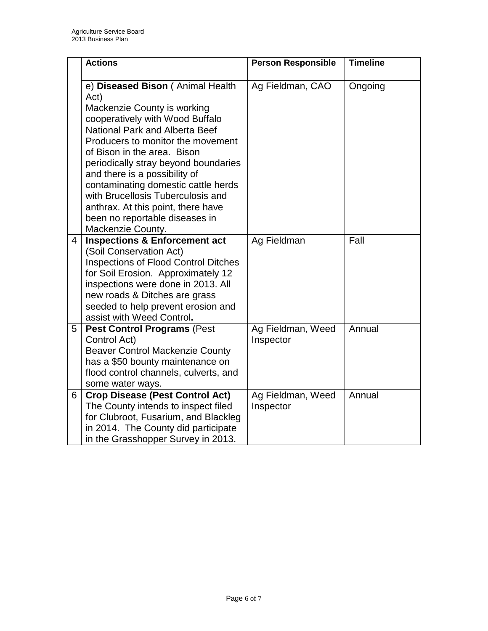|   | <b>Actions</b>                                                                                                                                                                                                                                                                                                                                                                                                                                                            | <b>Person Responsible</b>      | <b>Timeline</b> |
|---|---------------------------------------------------------------------------------------------------------------------------------------------------------------------------------------------------------------------------------------------------------------------------------------------------------------------------------------------------------------------------------------------------------------------------------------------------------------------------|--------------------------------|-----------------|
|   | e) Diseased Bison (Animal Health<br>Act)<br>Mackenzie County is working<br>cooperatively with Wood Buffalo<br><b>National Park and Alberta Beef</b><br>Producers to monitor the movement<br>of Bison in the area. Bison<br>periodically stray beyond boundaries<br>and there is a possibility of<br>contaminating domestic cattle herds<br>with Brucellosis Tuberculosis and<br>anthrax. At this point, there have<br>been no reportable diseases in<br>Mackenzie County. | Ag Fieldman, CAO               | Ongoing         |
| 4 | <b>Inspections &amp; Enforcement act</b><br>(Soil Conservation Act)<br><b>Inspections of Flood Control Ditches</b><br>for Soil Erosion. Approximately 12<br>inspections were done in 2013. All<br>new roads & Ditches are grass<br>seeded to help prevent erosion and<br>assist with Weed Control.                                                                                                                                                                        | Ag Fieldman                    | Fall            |
| 5 | <b>Pest Control Programs (Pest</b><br>Control Act)<br><b>Beaver Control Mackenzie County</b><br>has a \$50 bounty maintenance on<br>flood control channels, culverts, and<br>some water ways.                                                                                                                                                                                                                                                                             | Ag Fieldman, Weed<br>Inspector | Annual          |
| 6 | <b>Crop Disease (Pest Control Act)</b><br>The County intends to inspect filed<br>for Clubroot, Fusarium, and Blackleg<br>in 2014. The County did participate<br>in the Grasshopper Survey in 2013.                                                                                                                                                                                                                                                                        | Ag Fieldman, Weed<br>Inspector | Annual          |